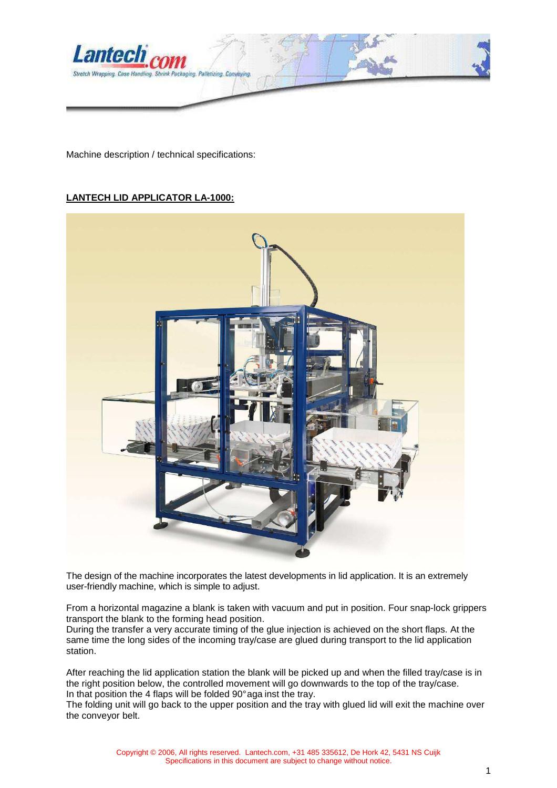

Machine description / technical specifications:

#### **LANTECH LID APPLICATOR LA-1000:**



The design of the machine incorporates the latest developments in lid application. It is an extremely user-friendly machine, which is simple to adjust.

From a horizontal magazine a blank is taken with vacuum and put in position. Four snap-lock grippers transport the blank to the forming head position.

During the transfer a very accurate timing of the glue injection is achieved on the short flaps. At the same time the long sides of the incoming tray/case are glued during transport to the lid application station.

After reaching the lid application station the blank will be picked up and when the filled tray/case is in the right position below, the controlled movement will go downwards to the top of the tray/case. In that position the 4 flaps will be folded 90° aga inst the tray.

The folding unit will go back to the upper position and the tray with glued lid will exit the machine over the conveyor belt.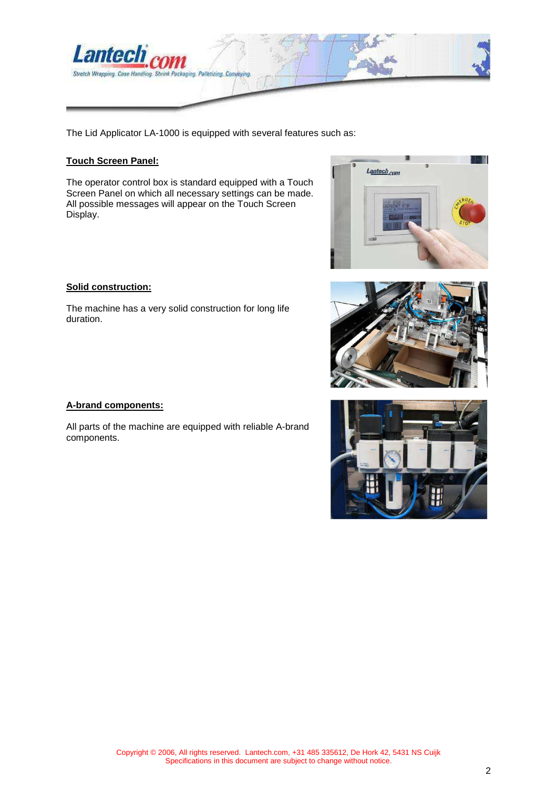

The Lid Applicator LA-1000 is equipped with several features such as:

#### **Touch Screen Panel:**

The operator control box is standard equipped with a Touch Screen Panel on which all necessary settings can be made. All possible messages will appear on the Touch Screen Display.



# The machine has a very solid construction for long life

## **A-brand components:**

**Solid construction:**

duration.

All parts of the machine are equipped with reliable A-brand components.



#### 2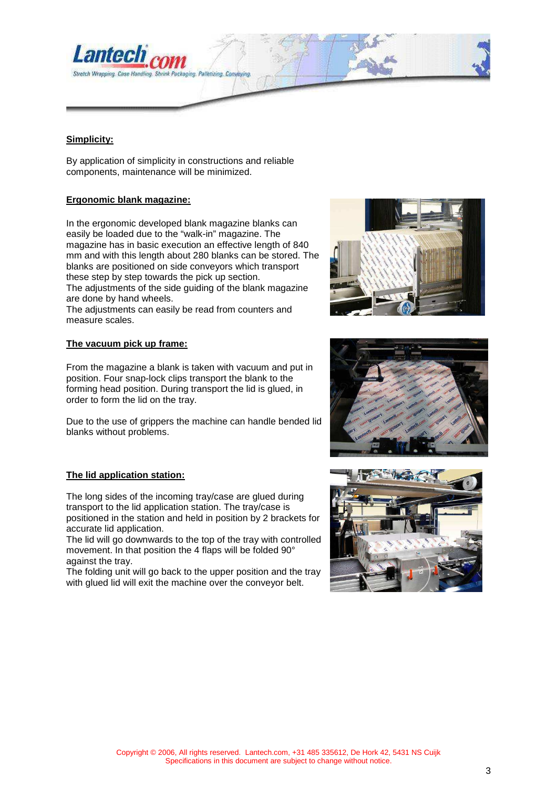

#### **Simplicity:**

By application of simplicity in constructions and reliable components, maintenance will be minimized.

#### **Ergonomic blank magazine:**

In the ergonomic developed blank magazine blanks can easily be loaded due to the "walk-in" magazine. The magazine has in basic execution an effective length of 840 mm and with this length about 280 blanks can be stored. The blanks are positioned on side conveyors which transport these step by step towards the pick up section. The adjustments of the side guiding of the blank magazine are done by hand wheels.

The adjustments can easily be read from counters and measure scales.

#### **The vacuum pick up frame:**

From the magazine a blank is taken with vacuum and put in position. Four snap-lock clips transport the blank to the forming head position. During transport the lid is glued, in order to form the lid on the tray.

Due to the use of grippers the machine can handle bended lid blanks without problems.

#### **The lid application station:**

The long sides of the incoming tray/case are glued during transport to the lid application station. The tray/case is positioned in the station and held in position by 2 brackets for accurate lid application.

The lid will go downwards to the top of the tray with controlled movement. In that position the 4 flaps will be folded 90° against the tray.

The folding unit will go back to the upper position and the tray with glued lid will exit the machine over the conveyor belt.





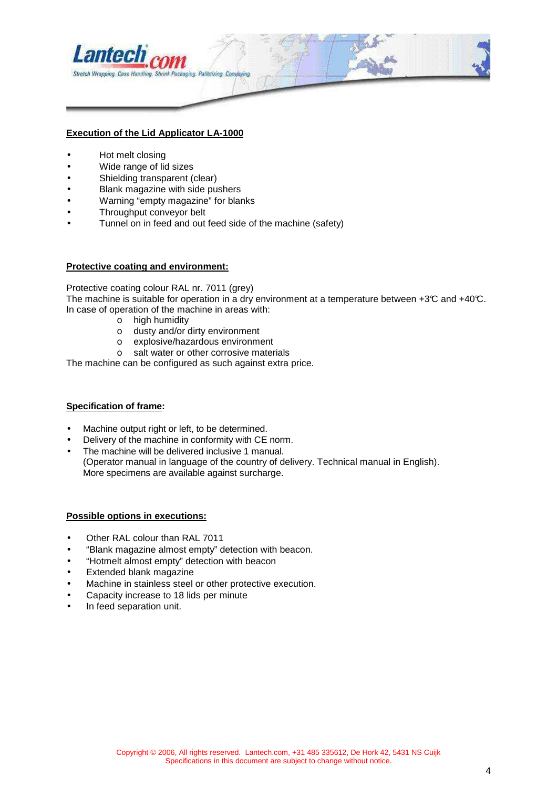

#### **Execution of the Lid Applicator LA-1000**

- Hot melt closing
- Wide range of lid sizes
- Shielding transparent (clear)
- Blank magazine with side pushers
- Warning "empty magazine" for blanks
- Throughput conveyor belt
- Tunnel on in feed and out feed side of the machine (safety)

#### **Protective coating and environment:**

Protective coating colour RAL nr. 7011 (grey) The machine is suitable for operation in a dry environment at a temperature between  $+3\mathbb{C}$  and  $+40\mathbb{C}$ . In case of operation of the machine in areas with:

- o high humidity
- o dusty and/or dirty environment
- o explosive/hazardous environment
- o salt water or other corrosive materials

The machine can be configured as such against extra price.

#### **Specification of frame:**

- Machine output right or left, to be determined.
- Delivery of the machine in conformity with CE norm.
- The machine will be delivered inclusive 1 manual. (Operator manual in language of the country of delivery. Technical manual in English). More specimens are available against surcharge.

#### **Possible options in executions:**

- Other RAL colour than RAL 7011
- "Blank magazine almost empty" detection with beacon.
- "Hotmelt almost empty" detection with beacon
- Extended blank magazine
- Machine in stainless steel or other protective execution.
- Capacity increase to 18 lids per minute
- In feed separation unit.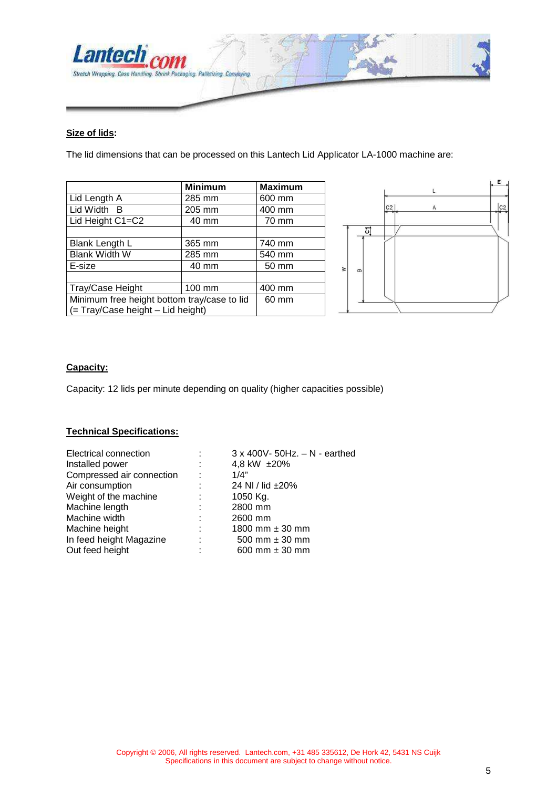

#### **Size of lids:**

The lid dimensions that can be processed on this Lantech Lid Applicator LA-1000 machine are:

|                                             | <b>Minimum</b> | <b>Maximum</b> |
|---------------------------------------------|----------------|----------------|
| Lid Length A                                | 285 mm         | 600 mm         |
| Lid Width B                                 | 205 mm         | 400 mm         |
| Lid Height C1=C2                            | 40 mm          | 70 mm          |
|                                             |                |                |
| <b>Blank Length L</b>                       | 365 mm         | 740 mm         |
| <b>Blank Width W</b>                        | 285 mm         | 540 mm         |
| E-size                                      | 40 mm          | 50 mm          |
|                                             |                |                |
| Tray/Case Height                            | 100 mm         |                |
| Minimum free height bottom tray/case to lid |                | 60 mm          |
| (= Tray/Case height - Lid height)           |                |                |



#### **Capacity:**

Capacity: 12 lids per minute depending on quality (higher capacities possible)

#### **Technical Specifications:**

| Electrical connection     |    | $3 \times 400V - 50Hz$ . $-N -$ earthed |
|---------------------------|----|-----------------------------------------|
| Installed power           | ÷  | 4,8 kW ±20%                             |
| Compressed air connection | ÷  | 1/4"                                    |
| Air consumption           | t. | 24 NI / lid $\pm 20\%$                  |
| Weight of the machine     | ÷  | 1050 Kg.                                |
| Machine length            | ÷  | 2800 mm                                 |
| Machine width             | ÷  | 2600 mm                                 |
| Machine height            | ÷  | 1800 mm $\pm$ 30 mm                     |
| In feed height Magazine   | ٠  | 500 mm $\pm$ 30 mm                      |
| Out feed height           | ٠  | 600 mm $\pm$ 30 mm                      |
|                           |    |                                         |